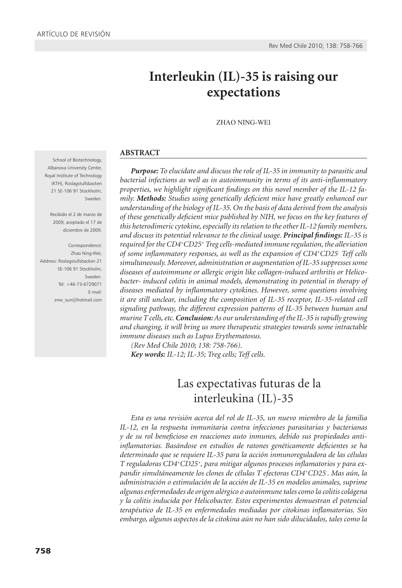# **Interleukin (IL)-35 is raising our expectations**

ZHAO NING-WEI

#### **ABSTRACT**

*Purpose: To elucidate and discuss the role of IL-35 in immunity to parasitic and bacterial infections as well as in autoimmunity in terms of its anti-inflammatory properties, we highlight significant findings on this novel member of the IL-12 family. Methods: Studies using genetically deficient mice have greatly enhanced our understanding of the biology of IL-35. On the basis of data derived from the analysis of these genetically deficient mice published by NIH, we focus on the key features of this heterodimeric cytokine, especially its relation to the other IL-12 family members, and discuss its potential relevance to the clinical usage. Principal findings: IL-35 is required for the CD4+CD25+ Treg cells-mediated immune regulation, the alleviation of some inflammatory responses, as well as the expansion of CD4+CD25- Teff cells simultaneously. Moreover, administration or augmentation of IL-35 suppresses some diseases of autoimmune or allergic origin like collagen-induced arthritis or Helico*bacter- induced colitis in animal models, demonstrating its potential in therapy of *diseases mediated by inflammatory cytokines. However, some questions involving it are still unclear, including the composition of IL-35 receptor, IL-35-related cell signaling pathway, the different expression patterns of IL-35 between human and murine T cells, etc. Conclusion: As our understanding of the IL-35 is rapidly growing and changing, it will bring us more therapeutic strategies towards some intractable immune diseases such as Lupus Erythematosus.*

*(Rev Med Chile 2010; 138: 758-766). Key words: IL-12; IL-35; Treg cells; Teff cells.*

## Las expectativas futuras de la interleukina (IL)-35

*Esta es una revisión acerca del rol de IL-35, un nuevo miembro de la familia IL-12, en la respuesta inmunitaria contra infecciones parasitarias y bacterianas y de su rol beneficioso en reacciones auto inmunes, debido sus propiedades antiinflamatorias. Basándose en estudios de ratones genéticamente deficientes se ha determinado que se requiere IL-35 para la acción inmunoreguladora de las células T reguladoras CD4+CD25+, para mitigar algunos procesos inflamatorios y para expandir simultáneamente los clones de células T efectoras CD4+CD25- . Mas aún, la administración o estimulación de la acción de IL-35 en modelos animales, suprime algunas enfermedades de origen alérgico o autoinmune tales como la colitis colágena y la colitis inducida por Helicobacter. Estos experimentos demuestran el potencial terapéutico de IL-35 en enfermedades mediadas por citokinas inflamatorias. Sin embargo, algunos aspectos de la citokina aún no han sido dilucidados, tales como la* 

School of Biotechnology, Albanova University Center, Royal Institute of Technology (KTH), Roslagstullsbacken 21 SE-106 91 Stockholm, Sweden.

Recibido el 2 de marzo de 2009, aceptado el 17 de diciembre de 2009.

Correspondence: Zhao Ning-Wei, Address: Roslagstullsbacken 21 SE-106 91 Stockholm, Sweden. Tel: +46-73-6729071 E-mail: znw\_sun@hotmail.com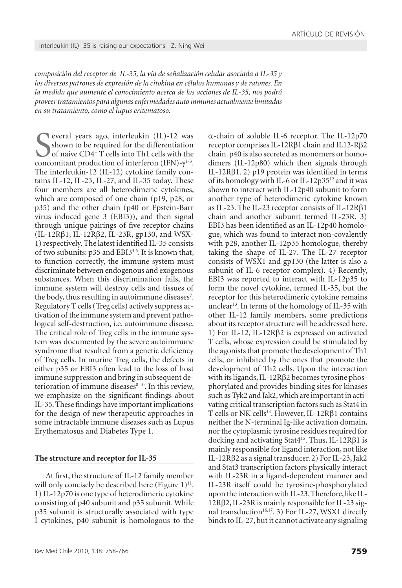*composición del receptor de IL-35, la vía de señalización celular asociada a IL-35 y los diversos patrones de expresión de la citokina en células humanas y de ratones. En la medida que aumente el conocimiento acerca de las acciones de IL-35, nos podrá proveer tratamientos para algunas enfermedades auto inmunes actualmente limitadas en su tratamiento, como el lupus eritematoso.*

Several years ago, interleukin (IL)-12 was<br>shown to be required for the differentiation<br>of naive CD4<sup>+</sup> T cells into Th1 cells with the<br>concomitant production of interferon (IFN)- $\gamma$ <sup>1-3</sup>. everal years ago, interleukin (IL)-12 was shown to be required for the differentiation of naive CD4+ T cells into Th1 cells with the The interleukin-12 (IL-12) cytokine family contains IL-12, IL-23, IL-27, and IL-35 today. These four members are all heterodimeric cytokines, which are composed of one chain (p19, p28, or p35) and the other chain (p40 or Epstein-Barr virus induced gene 3 (EBI3)), and then signal through unique pairings of five receptor chains (IL-12Rβ1, IL-12Rβ2, IL-23R, gp130, and WSX-1) respectively. The latest identified IL-35 consists of two subunits: p35 and EBI3<sup>4.6</sup>. It is known that, to function correctly, the immune system must discriminate between endogenous and exogenous substances. When this discrimination fails, the immune system will destroy cells and tissues of the body, thus resulting in autoimmune diseases<sup>7</sup>. Regulatory T cells (Treg cells) actively suppress activation of the immune system and prevent pathological self-destruction, i.e. autoimmune disease. The critical role of Treg cells in the immune system was documented by the severe autoimmune syndrome that resulted from a genetic deficiency of Treg cells. In murine Treg cells, the defects in either p35 or EBI3 often lead to the loss of host immune suppression and bring in subsequent deterioration of immune diseases<sup>8-10</sup>. In this review, we emphasize on the significant findings about IL-35. These findings have important implications for the design of new therapeutic approaches in some intractable immune diseases such as Lupus Erythematosus and Diabetes Type 1.

## **The structure and receptor for IL-35**

At first, the structure of IL-12 family member will only concisely be described here (Figure  $1$ )<sup>11</sup>. 1) IL-12p70 is one type of heterodimeric cytokine consisting of p40 subunit and p35 subunit. While p35 subunit is structurally associated with type I cytokines, p40 subunit is homologous to the

Rev Med Chile 2010; 138: 758-766

 $\alpha$ -chain of soluble IL-6 receptor. The IL-12p70 receptor comprises IL-12Rβ1 chain and IL12-Rβ2 chain. p40 is also secreted as monomers or homodimers (IL-12p80) which then signals through IL-12Rβ1. 2) p19 protein was identified in terms of its homology with IL-6 or IL-12p3512 and it was shown to interact with IL-12p40 subunit to form another type of heterodimeric cytokine known as IL-23. The IL-23 receptor consists of IL-12Rβ1 chain and another subunit termed IL-23R. 3) EBI3 has been identified as an IL-12p40 homologue, which was found to interact non-covalently with p28, another IL-12p35 homologue, thereby taking the shape of IL-27. The IL-27 receptor consists of WSX1 and gp130 (the latter is also a subunit of IL-6 receptor complex). 4) Recently, EBI3 was reported to interact with IL-12p35 to form the novel cytokine, termed IL-35, but the receptor for this heterodimeric cytokine remains unclear<sup>13</sup>. In terms of the homology of IL-35 with other IL-12 family members, some predictions about its receptor structure will be addressed here. 1) For IL-12, IL-12Rβ2 is expressed on activated T cells, whose expression could be stimulated by the agonists that promote the development of Th1 cells, or inhibited by the ones that promote the development of Th2 cells. Upon the interaction with its ligands, IL-12Rβ2 becomes tyrosine phosphorylated and provides binding sites for kinases such as Tyk2 and Jak2, which are important in activating critical transcription factors such as Stat4 in T cells or NK cells<sup>14</sup>. However, IL-12Rβ1 contains neither the N-terminal Ig-like activation domain, nor the cytoplasmic tyrosine residues required for docking and activating Stat415. Thus, IL-12Rβ1 is mainly responsible for ligand interaction, not like IL-12Rβ2 as a signal transducer. 2) For IL-23, Jak2 and Stat3 transcription factors physically interact with IL-23R in a ligand-dependent manner and IL-23R itself could be tyrosine-phosphorylated upon the interaction with IL-23. Therefore, like IL-12Rβ2, IL-23R is mainly responsible for IL-23 signal transduction<sup>16,17</sup>. 3) For IL-27, WSX1 directly binds to IL-27, but it cannot activate any signaling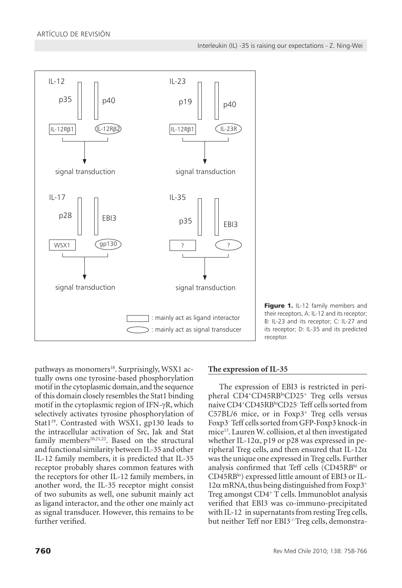

Figure 1. IL-12 family members and their receptors, A: IL-12 and its receptor; B: IL-23 and its receptor; C: IL-27 and its receptor; D: IL-35 and its predicted receptor.

pathways as monomers<sup>18</sup>. Surprisingly, WSX1 actually owns one tyrosine-based phosphorylation motif in the cytoplasmic domain, and the sequence of this domain closely resembles the Stat1 binding motif in the cytoplasmic region of IFN- $\gamma$ R, which selectively activates tyrosine phosphorylation of Stat1<sup>19</sup>. Contrasted with WSX1, gp130 leads to the intracellular activation of Src, Jak and Stat family members<sup>20,21,22</sup>. Based on the structural and functional similarity between IL-35 and other IL-12 family members, it is predicted that IL-35 receptor probably shares common features with the receptors for other IL-12 family members, in another word, the IL-35 receptor might consist of two subunits as well, one subunit mainly act as ligand interactor, and the other one mainly act as signal transducer. However, this remains to be further verified.

## **The expression of IL-35**

The expression of EBI3 is restricted in peripheral CD4<sup>+</sup>CD45RB<sup>lo</sup>CD25<sup>+</sup> Treg cells versus naive CD4+CD45RBhiCD25- Teff cells sorted from  $C57BL/6$  mice, or in Foxp3<sup>+</sup> Treg cells versus Foxp3- Teff cells sorted from GFP-Foxp3 knock-in mice<sup>13</sup>. Lauren W. collision, et al then investigated whether IL-12 $\alpha$ , p19 or p28 was expressed in peripheral Treg cells, and then ensured that IL-12 $\alpha$ was the unique one expressed in Treg cells. Further analysis confirmed that Teff cells (CD45RBhi or CD45RB<sup>lo</sup>) expressed little amount of EBI3 or IL- $12\alpha$  mRNA, thus being distinguished from Foxp3<sup>+</sup> Treg amongst CD4+ T cells. Immunoblot analysis verified that EBI3 was co-immuno-precipitated with IL-12 in supernatants from resting Treg cells, but neither Teff nor EBI3<sup>-/-</sup>Treg cells, demonstra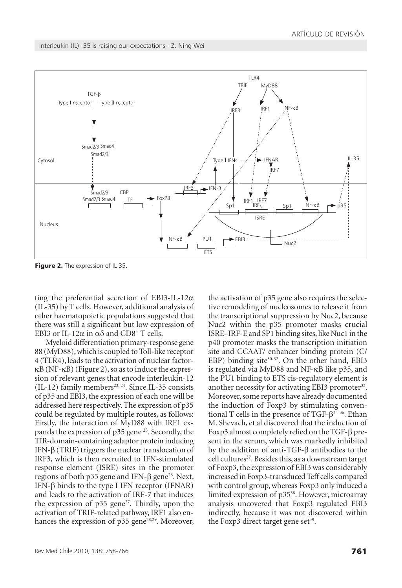Interleukin (IL) -35 is raising our expectations - Z. Ning-Wei



Figure 2. The expression of IL-35.

ting the preferential secretion of EBI3-IL-12 $\alpha$ (IL-35) by T cells. However, additional analysis of other haematopoietic populations suggested that there was still a significant but low expression of EBI3 or IL-12 $\alpha$  in  $\alpha\delta$  and CD8<sup>+</sup> T cells.

Myeloid differentiation primary-response gene 88 (MyD88), which is coupled to Toll-like receptor 4 (TLR4), leads to the activation of nuclear factorkB (NF-κB) (Figure 2), so as to induce the expression of relevant genes that encode interleukin-12  $(IL-12)$  family members<sup>23, 24</sup>. Since IL-35 consists of p35 and EBI3, the expression of each one will be addressed here respectively. The expression of p35 could be regulated by multiple routes, as follows: Firstly, the interaction of MyD88 with IRF1 expands the expression of p35 gene <sup>25</sup>. Secondly, the TIR-domain-containing adaptor protein inducing IFN-β (TRIF) triggers the nuclear translocation of IRF3, which is then recruited to IFN-stimulated response element (ISRE) sites in the promoter regions of both p35 gene and IFN- $\beta$  gene<sup>26</sup>. Next, IFN-β binds to the type I IFN receptor (IFNAR) and leads to the activation of IRF-7 that induces the expression of  $p35$  gene<sup>27</sup>. Thirdly, upon the activation of TRIF-related pathway, IRF1 also enhances the expression of  $p35$  gene<sup>28,29</sup>. Moreover, tive remodeling of nucleosomes to release it from the transcriptional suppression by Nuc2, because Nuc2 within the p35 promoter masks crucial ISRE–IRF-E and SP1 binding sites, like Nuc1 in the p40 promoter masks the transcription initiation site and CCAAT/ enhancer binding protein (C/ EBP) binding site $30-32$ . On the other hand, EBI3 is regulated via MyD88 and NF-kB like p35, and the PU1 binding to ETS cis-regulatory element is another necessity for activating EBI3 promoter<sup>33</sup>. Moreover, some reports have already documented the induction of Foxp3 by stimulating conventional T cells in the presence of TGF- $\beta^{34-36}$ . Ethan M. Shevach, et al discovered that the induction of Foxp3 almost completely relied on the TGF-β present in the serum, which was markedly inhibited by the addition of anti-TGF-β antibodies to the cell cultures<sup>37</sup>. Besides this, as a downstream target of Foxp3, the expression of EBI3 was considerably increased in Foxp3-transduced Teff cells compared with control group, whereas Foxp3 only induced a limited expression of p3538. However, microarray analysis uncovered that Foxp3 regulated EBI3 indirectly, because it was not discovered within the Foxp3 direct target gene set $39$ .

the activation of p35 gene also requires the selec-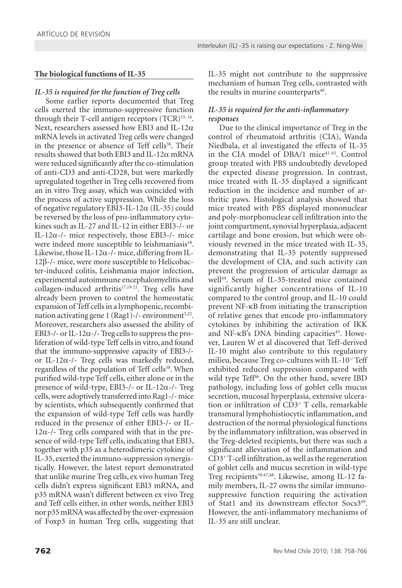## **The biological functions of IL-35**

*IL-35 is required for the function of Treg cells*

Some earlier reports documented that Treg cells exerted the immuno-suppressive function through their T-cell antigen receptors  $(TCR)^{15, 16}$ . Next, researchers assessed how EBI3 and IL-12 $\alpha$ mRNA levels in activated Treg cells were changed in the presence or absence of Teff cells<sup>38</sup>. Their results showed that both EBI3 and IL-12 $\alpha$  mRNA were reduced significantly after the co-stimulation of anti-CD3 and anti-CD28, but were markedly upregulated together in Treg cells recovered from an in vitro Treg assay, which was coincided with the process of active suppression. While the loss of negative regulatory EBI3-IL-12 $\alpha$  (IL-35) could be reversed by the loss of pro-inflammatory cytokines such as IL-27 and IL-12 in either EBI3-/- or IL-12 $\alpha$ -/- mice respectively, those EBI3-/- mice were indeed more susceptible to leishmaniasis<sup>18</sup>. Likewise, those IL-12 $\alpha$ -/- mice, differing from IL-12β-/- mice, were more susceptible to Helicobacter-induced colitis, Leishmania major infection, experimental autoimmune encephalomyelitis and collagen-induced arthritis $17,19-21$ . Treg cells have already been proven to control the homeostatic expansion of Teff cells in a lymphopenic, recombination activating gene  $1$  (Rag1)-/- environment<sup>5,22</sup>. Moreover, researchers also assessed the ability of EBI3-/- or IL-12 $\alpha$ -/- Treg cells to suppress the proliferation of wild-type Teff cells in vitro, and found that the immuno-suppressive capacity of EBI3-/ or IL-12 $\alpha$ -/- Treg cells was markedly reduced, regardless of the population of Teff cells<sup>38</sup>. When purified wild-type Teff cells, either alone or in the presence of wild-type, EBI3-/- or IL-12 $\alpha$ -/- Treg cells, were adoptively transferred into Rag1-/- mice by scientists, which subsequently confirmed that the expansion of wild-type Teff cells was hardly reduced in the presence of either EBI3-/- or IL- $12\alpha$ -/- Treg cells compared with that in the presence of wild-type Teff cells, indicating that EBI3, together with p35 as a heterodimeric cytokine of IL-35, exerted the immuno-suppression synergistically. However, the latest report demonstrated that unlike murine Treg cells, ex vivo human Treg cells didn't express significant EBI3 mRNA, and p35 mRNA wasn't different between ex vivo Treg and Teff cells either, in other words, neither EBI3 nor p35 mRNA was affected by the over-expression of Foxp3 in human Treg cells, suggesting that IL-35 might not contribute to the suppressive mechanism of human Treg cells, contrasted with the results in murine counterparts<sup>40</sup>.

## *IL-35 is required for the anti-inflammatory responses*

Due to the clinical importance of Treg in the control of rheumatoid arthritis (CIA), Wanda Niedbala, et al investigated the effects of IL-35 in the CIA model of DBA/1 mice<sup>41-43</sup>. Control group treated with PBS undoubtedly developed the expected disease progression. In contrast, mice treated with IL-35 displayed a significant reduction in the incidence and number of arthritic paws. Histological analysis showed that mice treated with PBS displayed mononuclear and poly-morphonuclear cell infiltration into the joint compartment, synovial hyperplasia, adjacent cartilage and bone erosion, but which were obviously reversed in the mice treated with IL-35, demonstrating that IL-35 potently suppressed the development of CIA, and such activity can prevent the progression of articular damage as well<sup>44</sup>. Serum of IL-35-treated mice contained significantly higher concentrations of IL-10 compared to the control group, and IL-10 could prevent NF-kB from initiating the transcription of relative genes that encode pro-inflammatory cytokines by inhibiting the activation of IKK and NF- $\kappa$ B's DNA binding capacities<sup>45</sup>. However, Lauren W et al discovered that Teff-derived IL-10 might also contribute to this regulatory milieu, because Treg co-cultures with IL-10 $\cdot$ -Teff exhibited reduced suppression compared with wild type Teff<sup>46</sup>. On the other hand, severe IBD pathology, including loss of goblet cells mucus secretion, mucosal hyperplasia, extensive ulceration or infiltration of CD3+ T cells, remarkable transmural lymphohistiocytic inflammation, and destruction of the normal physiological functions by the inflammatory infiltration, was observed in the Treg-deleted recipients, but there was such a significant alleviation of the inflammation and CD3+ T-cell infiltration, as well as the regeneration of goblet cells and mucus secretion in wild-type Treg recipients<sup>39,47,48</sup>. Likewise, among IL-12 family members, IL-27 owns the similar immunosuppressive function requiring the activation of Stat1 and its downstream effector Socs349. However, the anti-inflammatory mechanisms of IL-35 are still unclear.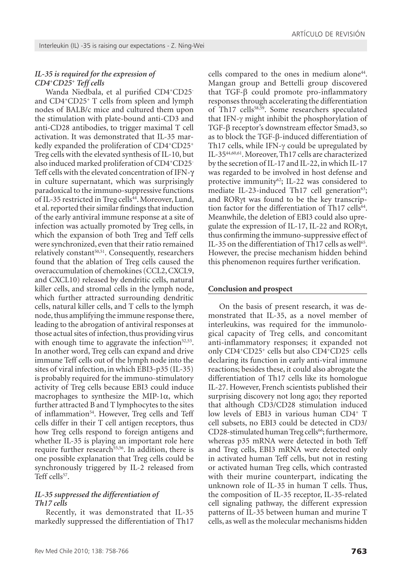#### *IL-35 is required for the expression of CD4+CD25+ Teff cells*

Wanda Niedbala, et al purified CD4+CD25 and CD4+CD25+ T cells from spleen and lymph nodes of BALB/c mice and cultured them upon the stimulation with plate-bound anti-CD3 and anti-CD28 antibodies, to trigger maximal T cell activation. It was demonstrated that IL-35 markedly expanded the proliferation of CD4+CD25+ Treg cells with the elevated synthesis of IL-10, but also induced marked proliferation of CD4+CD25- Teff cells with the elevated concentration of IFN-γ in culture supernatant, which was surprisingly paradoxical to the immuno-suppressive functions of IL-35 restricted in Treg cells<sup>44</sup>. Moreover, Lund, et al. reported their similar findings that induction of the early antiviral immune response at a site of infection was actually promoted by Treg cells, in which the expansion of both Treg and Teff cells were synchronized, even that their ratio remained relatively constant<sup>50,51</sup>. Consequently, researchers found that the ablation of Treg cells caused the overaccumulation of chemokines (CCL2, CXCL9, and CXCL10) released by dendritic cells, natural killer cells, and stromal cells in the lymph node, which further attracted surrounding dendritic cells, natural killer cells, and T cells to the lymph node, thus amplifying the immune response there, leading to the abrogation of antiviral responses at those actual sites of infection, thus providing virus with enough time to aggravate the infection $52,53$ . In another word, Treg cells can expand and drive immune Teff cells out of the lymph node into the sites of viral infection, in which EBI3-p35 (IL-35) is probably required for the immuno-stimulatory activity of Treg cells because EBI3 could induce macrophages to synthesize the MIP-1 $\alpha$ , which further attracted B and T lymphocytes to the sites of inflammation<sup>54</sup>. However, Treg cells and Teff cells differ in their T cell antigen receptors, thus how Treg cells respond to foreign antigens and whether IL-35 is playing an important role here require further research<sup>55,56</sup>. In addition, there is one possible explanation that Treg cells could be synchronously triggered by IL-2 released from Teff cells<sup>57</sup>.

#### *IL-35 suppressed the differentiation of Th17 cells*

Recently, it was demonstrated that IL-35 markedly suppressed the differentiation of Th17 cells compared to the ones in medium alone<sup>44</sup>. Mangan group and Bettelli group discovered that TGF-β could promote pro-inflammatory responses through accelerating the differentiation of Th17 cells<sup>58,59</sup>. Some researchers speculated that IFN-γ might inhibit the phosphorylation of TGF-β receptor's downstream effector Smad3, so as to block the TGF-β-induced differentiation of Th17 cells, while IFN-γ could be upregulated by IL-3544,60,61. Moreover, Th17 cells are characterized by the secretion of IL-17 and IL-22, in which IL-17 was regarded to be involved in host defense and protective immunity<sup>62</sup>; IL-22 was considered to mediate IL-23-induced Th17 cell generation $63$ ; and RORγt was found to be the key transcription factor for the differentiation of Th17 cells<sup>64</sup>. Meanwhile, the deletion of EBI3 could also upregulate the expression of IL-17, IL-22 and RORγt, thus confirming the immuno-suppressive effect of IL-35 on the differentiation of Th17 cells as well<sup>65</sup>. However, the precise mechanism hidden behind this phenomenon requires further verification.

#### **Conclusion and prospect**

On the basis of present research, it was demonstrated that IL-35, as a novel member of interleukins, was required for the immunological capacity of Treg cells, and concomitant anti-inflammatory responses; it expanded not only CD4<sup>+</sup>CD25<sup>+</sup> cells but also CD4<sup>+</sup>CD25<sup>-</sup> cells declaring its function in early anti-viral immune reactions; besides these, it could also abrogate the differentiation of Th17 cells like its homologue IL-27. However, French scientists published their surprising discovery not long ago; they reported that although CD3/CD28 stimulation induced low levels of EBI3 in various human CD4+ T cell subsets, no EBI3 could be detected in CD3/ CD28-stimulated human Treg cells<sup>66</sup>; furthermore, whereas p35 mRNA were detected in both Teff and Treg cells, EBI3 mRNA were detected only in activated human Teff cells, but not in resting or activated human Treg cells, which contrasted with their murine counterpart, indicating the unknown role of IL-35 in human T cells. Thus, the composition of IL-35 receptor, IL-35-related cell signaling pathway, the different expression patterns of IL-35 between human and murine T cells, as well as the molecular mechanisms hidden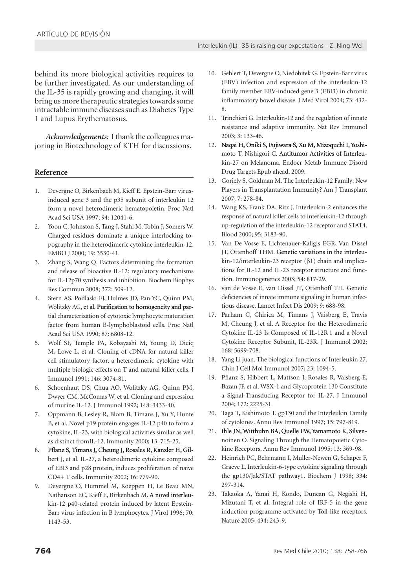behind its more biological activities requires to be further investigated. As our understanding of the IL-35 is rapidly growing and changing, it will bring us more therapeutic strategies towards some intractable immune diseases such as Diabetes Type 1 and Lupus Erythematosus.

*Acknowledgements:* I thank the colleagues majoring in Biotechnology of KTH for discussions.

#### **Reference**

- 1. Devergne O, Birkenbach M, Kieff E. Epstein-Barr virusinduced gene 3 and the p35 subunit of interleukin 12 form a novel heterodimeric hematopoietin. Proc Natl Acad Sci USA 1997; 94: 12041-6.
- 2. Yoon C, Johnston S, Tang J, Stahl M, Tobin J, Somers W. Charged residues dominate a unique interlocking topography in the heterodimeric cytokine interleukin-12. EMBO J 2000; 19: 3530-41.
- Zhang S, Wang Q. Factors determining the formation and release of bioactive IL-12: regulatory mechanisms for IL-12p70 synthesis and inhibition. Biochem Biophys Res Commun 2008; 372: 509-12.
- 4. Stern AS, Podlaski FJ, Hulmes JD, Pan YC, Quinn PM, Wolitzky AG, et al. Purification to homogeneity and partial characterization of cytotoxic lymphocyte maturation factor from human B-lymphoblastoid cells. Proc Natl Acad Sci USA 1990; 87: 6808-12.
- 5. Wolf SF, Temple PA, Kobayashi M, Young D, Diciq M, Lowe L, et al. Cloning of cDNA for natural killer cell stimulatory factor, a heterodimeric cytokine with multiple biologic effects on T and natural killer cells. J Immunol 1991; 146: 3074-81.
- 6. Schoenhaut DS, Chua AO, Wolitzky AG, Quinn PM, Dwyer CM, McComas W, et al. Cloning and expression of murine IL-12. J Immunol 1992; 148: 3433-40.
- 7. Oppmann B, Lesley R, Blom B, Timans J, Xu Y, Hunte B, et al. Novel p19 protein engages IL-12 p40 to form a cytokine, IL-23, with biological activities similar as well as distinct fromIL-12. Immunity 2000; 13: 715-25.
- 8. Pflanz S, Timans J, Cheung J, Rosales R, Kanzler H, Gilbert J, et al. IL-27, a heterodimeric cytokine composed of EBI3 and p28 protein, induces proliferation of naive CD4+ T cells. Immunity 2002; 16: 779-90.
- 9. Devergne O, Hummel M, Koeppen H, Le Beau MN, Nathanson EC, Kieff E, Birkenbach M. A novel interleukin-12 p40-related protein induced by latent Epstein-Barr virus infection in B lymphocytes. J Virol 1996; 70: 1143-53.
- 10. Gehlert T, Devergne O, Niedobitek G. Epstein-Barr virus (EBV) infection and expression of the interleukin-12 family member EBV-induced gene 3 (EBI3) in chronic inflammatory bowel disease. J Med Virol 2004; 73: 432- 8.
- 11. Trinchieri G. Interleukin-12 and the regulation of innate resistance and adaptive immunity. Nat Rev Immunol 2003; 3: 133-46.
- 12. Naqai H, Oniki S, Fujiwara S, Xu M, Mizoquchi I, Yoshimoto T, Nishigori C. Antitumor Activities of Interleukin-27 on Melanoma. Endocr Metab Immune Disord Drug Targets Epub ahead. 2009.
- 13. Goriely S, Goldman M. The Interleukin-12 Family: New Players in Transplantation Immunity? Am J Transplant 2007; 7: 278-84.
- 14. Wang KS, Frank DA, Ritz J. Interleukin-2 enhances the response of natural killer cells to interleukin-12 through up-regulation of the interleukin-12 receptor and STAT4. Blood 2000; 95: 3183-90.
- 15. Van De Vosse E, Lichtenauer-Kaligis EGR, Van Dissel JT, Ottenhoff THM. Genetic variations in the interleukin-12/interleukin-23 receptor (β1) chain and implications for IL-12 and IL-23 receptor structure and function. Immunogenetics 2003; 54: 817-29.
- 16. van de Vosse E, van Dissel JT, Ottenhoff TH. Genetic deficiencies of innate immune signaling in human infectious disease. Lancet Infect Dis 2009; 9: 688-98.
- 17. Parham C, Chirica M, Timans J, Vaisberg E, Travis M, Cheung J, et al. A Receptor for the Heterodimeric Cytokine IL-23 Is Composed of IL-12R 1 and a Novel Cytokine Receptor Subunit, IL-23R. J Immunol 2002; 168: 5699-708.
- 18. Yang Li juan. The biological functions of Interleukin 27. Chin J Cell Mol Immunol 2007; 23: 1094-5.
- 19. Pflanz S, Hibbert L, Mattson J, Rosales R, Vaisberg E, Bazan JF, et al. WSX-1 and Glycoprotein 130 Constitute a Signal-Transducing Receptor for IL-27. J Immunol 2004; 172: 2225-31.
- 20. Taga T, Kishimoto T. gp130 and the Interleukin Family of cytokines. Annu Rev Immunol 1997; 15: 797-819.
- 21. Ihle JN, Witthuhn BA, Quelle FW, Yamamoto K, Silvennoinen O. Signaling Through the Hematopoietic Cytokine Receptors. Annu Rev Immunol 1995; 13: 369-98.
- 22. Heinrich PC, Behrmann I, Muller-Newen G, Schaper F, Graeve L. Interleukin-6-type cytokine signaling through the gp130/Jak/STAT pathway1. Biochem J 1998; 334: 297-314.
- 23. Takaoka A, Yanai H, Kondo, Duncan G, Negishi H, Mizutani T, et al. Integral role of IRF-5 in the gene induction programme activated by Toll-like receptors. Nature 2005; 434: 243-9.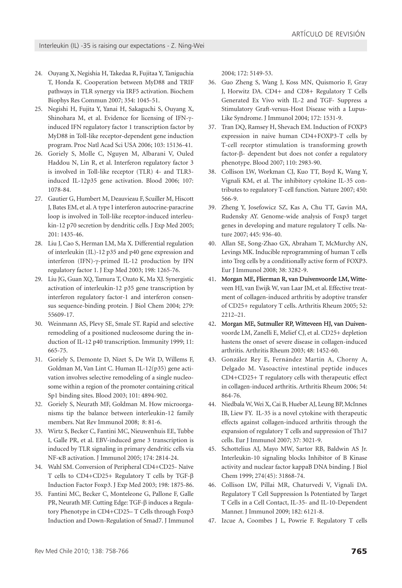- 24. Ouyang X, Negishia H, Takedaa R, Fujitaa Y, Taniguchia T, Honda K. Cooperation between MyD88 and TRIF pathways in TLR synergy via IRF5 activation. Biochem Biophys Res Commun 2007; 354: 1045-51.
- 25. Negishi H, Fujita Y, Yanai H, Sakaguchi S, Ouyang X, Shinohara M, et al. Evidence for licensing of IFN-γinduced IFN regulatory factor 1 transcription factor by MyD88 in Toll-like receptor-dependent gene induction program. Proc Natl Acad Sci USA 2006; 103: 15136-41.
- 26. Goriely S, Molle C, Nguyen M, Albarani V, Ouled Haddou N, Lin R, et al. Interferon regulatory factor 3 is involved in Toll-like receptor (TLR) 4- and TLR3 induced IL-12p35 gene activation. Blood 2006; 107: 1078-84.
- 27. Gautier G, Humbert M, Deauvieau F, Scuiller M, Hiscott J, Bates EM, et al. A type I interferon autocrine-paracrine loop is involved in Toll-like receptor-induced interleukin-12 p70 secretion by dendritic cells. J Exp Med 2005; 201: 1435-46.
- 28. Liu J, Cao S, Herman LM, Ma X. Differential regulation of interleukin (IL)-12 p35 and p40 gene expression and interferon (IFN)-γ-primed IL-12 production by IFN regulatory factor 1. J Exp Med 2003; 198: 1265-76.
- 29. Liu JG, Guan XQ, Tamura T, Ozato K, Ma XJ. Synergistic activation of interleukin-12 p35 gene transcription by interferon regulatory factor-1 and interferon consensus sequence-binding protein. J Biol Chem 2004; 279: 55609-17.
- 30. Weinmann AS, Plevy SE, Smale ST. Rapid and selective remodeling of a positioned nucleosome during the induction of IL-12 p40 transcription. Immunity 1999; 11: 665-75.
- 31. Goriely S, Demonte D, Nizet S, De Wit D, Willems F, Goldman M, Van Lint C. Human IL-12(p35) gene activation involves selective remodeling of a single nucleosome within a region of the promoter containing critical Sp1 binding sites. Blood 2003; 101: 4894-902.
- 32. Goriely S, Neurath MF, Goldman M. How microorganisms tip the balance between interleukin-12 family members. Nat Rev Immunol 2008; 8: 81-6.
- 33. Wirtz S, Becker C, Fantini MC, Nieuwenhuis EE, Tubbe I, Galle PR, et al. EBV-induced gene 3 transcription is induced by TLR signaling in primary dendritic cells via NF-κB activation. J Immunol 2005; 174: 2814-24.
- 34. Wahl SM. Conversion of Peripheral CD4+CD25- Naïve T cells to CD4+CD25+ Regulatory T cells by TGF-β Induction Factor Foxp3. J Exp Med 2003; 198: 1875-86.
- 35. Fantini MC, Becker C, Monteleone G, Pallone F, Galle PR, Neurath MF. Cutting Edge: TGF-β induces a Regulatory Phenotype in CD4+CD25– T Cells through Foxp3 Induction and Down-Regulation of Smad7. J Immunol

2004; 172: 5149-53.

- 36. Guo Zheng S, Wang J, Koss MN, Quismorio F, Gray J, Horwitz DA. CD4+ and CD8+ Regulatory T Cells Generated Ex Vivo with IL-2 and TGF- Suppress a Stimulatory Graft-versus-Host Disease with a Lupus-Like Syndrome. J Immunol 2004; 172: 1531-9.
- 37. Tran DQ, Ramsey H, Shevach EM. Induction of FOXP3 expression in naive human CD4+FOXP3-T cells by T-cell receptor stimulation is transforming growth factor-β- dependent but does not confer a regulatory phenotype. Blood 2007; 110: 2983-90.
- 38. Collison LW, Workman CJ, Kuo TT, Boyd K, Wang Y, Vignali KM, et al. The inhibitory cytokine IL-35 contributes to regulatory T-cell function. Nature 2007; 450: 566-9.
- 39. Zheng Y, Josefowicz SZ, Kas A, Chu TT, Gavin MA, Rudensky AY. Genome-wide analysis of Foxp3 target genes in developing and mature regulatory T cells. Nature 2007; 445: 936-40.
- 40. Allan SE, Song-Zhao GX, Abraham T, McMurchy AN, Levings MK. Inducible reprogramming of human T cells into Treg cells by a conditionally active form of FOXP3. Eur J Immunol 2008; 38: 3282-9.
- 41. Morgan ME, Flierman R, van Duivenvoorde LM, Witteveen HJ, van Ewijk W, van Laar JM, et al. Effective treatment of collagen-induced arthritis by adoptive transfer of CD25+ regulatory T cells. Arthritis Rheum 2005; 52: 2212–21.
- 42. Morgan ME, Sutmuller RP, Witteveen HJ, van Duivenvoorde LM, Zanelli E, Melief CJ, et al. CD25+ depletion hastens the onset of severe disease in collagen-induced arthritis. Arthritis Rheum 2003; 48: 1452-60.
- 43. González Rey E, Fernández Martin A, Chorny A, Delgado M. Vasoactive intestinal peptide induces CD4+CD25+ T regulatory cells with therapeutic effect in collagen-induced arthritis. Arthritis Rheum 2006; 54: 864-76.
- 44. Niedbala W, Wei X, Cai B, Hueber AJ, Leung BP, McInnes IB, Liew FY. IL-35 is a novel cytokine with therapeutic effects against collagen-induced arthritis through the expansion of regulatory T cells and suppression of Th17 cells. Eur J Immunol 2007; 37: 3021-9.
- 45. Schottelius AJ, Mayo MW, Sartor RB, Baldwin AS Jr. Interleukin-10 signaling blocks Inhibitor of B Kinase activity and nuclear factor kappaB DNA binding. J Biol Chem 1999; 274(45): 31868-74.
- 46. Collison LW, Pillai MR, Chaturvedi V, Vignali DA. Regulatory T Cell Suppression Is Potentiated by Target T Cells in a Cell Contact, IL-35- and IL-10-Dependent Manner. J Immunol 2009; 182: 6121-8.
- 47. Izcue A, Coombes J L, Powrie F. Regulatory T cells